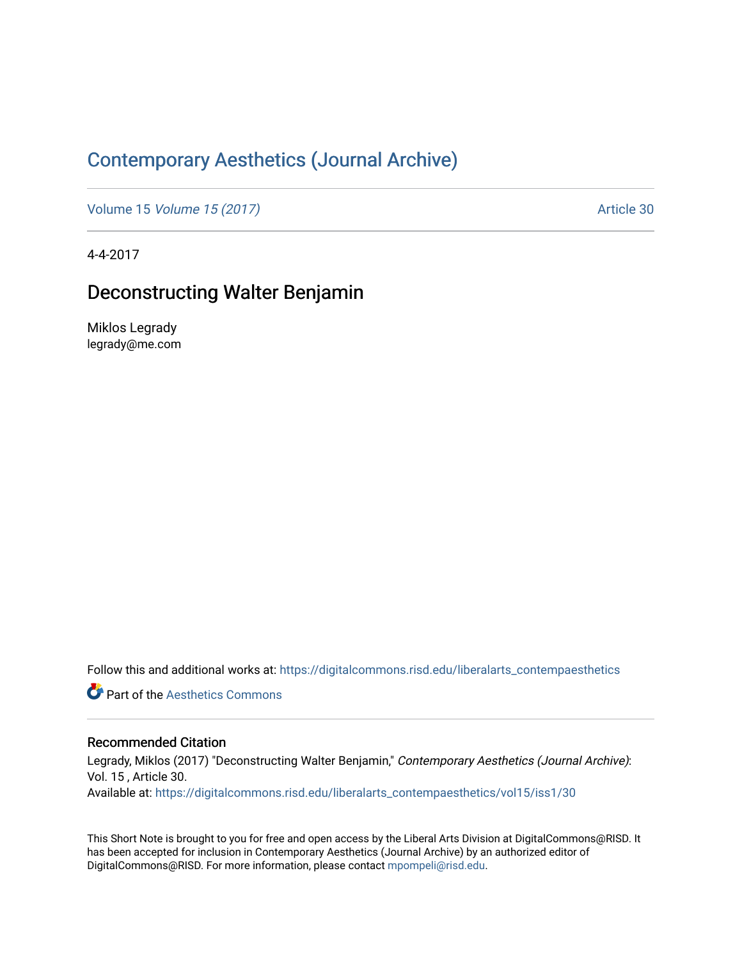## [Contemporary Aesthetics \(Journal Archive\)](https://digitalcommons.risd.edu/liberalarts_contempaesthetics)

Volume 15 [Volume 15 \(2017\)](https://digitalcommons.risd.edu/liberalarts_contempaesthetics/vol15) Article 30

4-4-2017

## Deconstructing Walter Benjamin

Miklos Legrady legrady@me.com

Follow this and additional works at: [https://digitalcommons.risd.edu/liberalarts\\_contempaesthetics](https://digitalcommons.risd.edu/liberalarts_contempaesthetics?utm_source=digitalcommons.risd.edu%2Fliberalarts_contempaesthetics%2Fvol15%2Fiss1%2F30&utm_medium=PDF&utm_campaign=PDFCoverPages) 

**Part of the Aesthetics Commons** 

## Recommended Citation

Legrady, Miklos (2017) "Deconstructing Walter Benjamin," Contemporary Aesthetics (Journal Archive): Vol. 15 , Article 30. Available at: [https://digitalcommons.risd.edu/liberalarts\\_contempaesthetics/vol15/iss1/30](https://digitalcommons.risd.edu/liberalarts_contempaesthetics/vol15/iss1/30?utm_source=digitalcommons.risd.edu%2Fliberalarts_contempaesthetics%2Fvol15%2Fiss1%2F30&utm_medium=PDF&utm_campaign=PDFCoverPages)

This Short Note is brought to you for free and open access by the Liberal Arts Division at DigitalCommons@RISD. It has been accepted for inclusion in Contemporary Aesthetics (Journal Archive) by an authorized editor of DigitalCommons@RISD. For more information, please contact [mpompeli@risd.edu](mailto:mpompeli@risd.edu).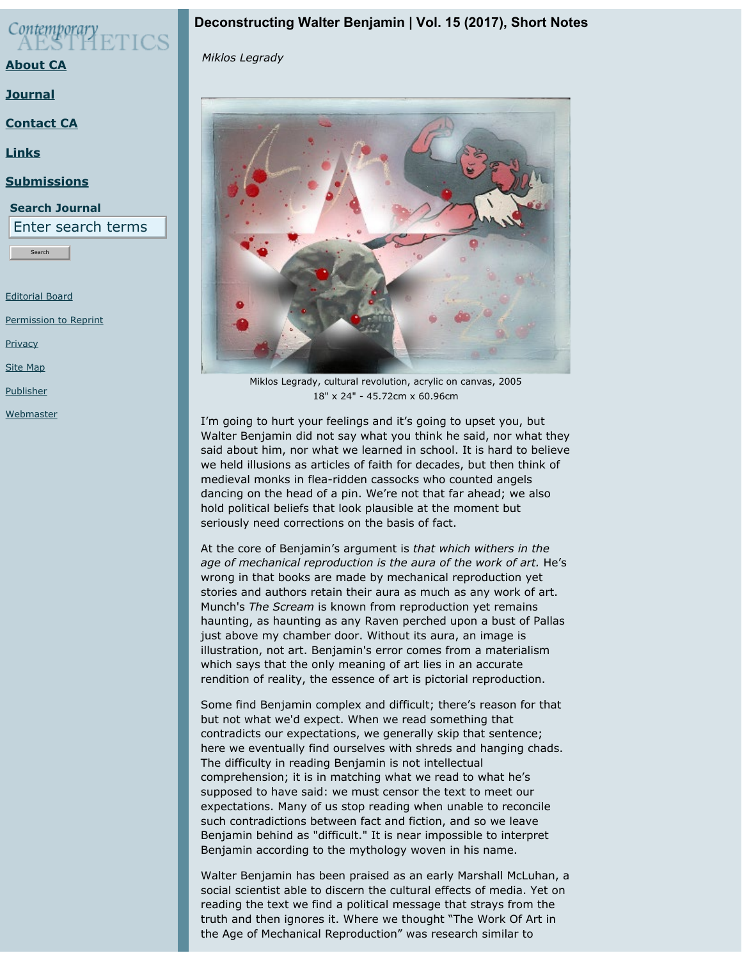

**[About CA](https://contempaesthetics.org/pages/about.html)**

**[Journal](https://contempaesthetics.org/newvolume/pages/journal.php)**

**[Contact CA](https://contempaesthetics.org/pages/contact.html)**

**[Links](https://contempaesthetics.org/pages/links.html)**

**[Submissions](https://contempaesthetics.org/pages/guidelines.html)**

**Search Journal** Enter search terms

Search

[Editorial Board](https://contempaesthetics.org/pages/editorialboard.html)

[Permission to Reprint](https://contempaesthetics.org/pages/reprint.html)

**[Privacy](https://contempaesthetics.org/pages/privacy.html)** 

[Site Map](https://contempaesthetics.org/pages/sitemap.html)

[Publisher](https://contempaesthetics.org/pages/publisher.html)

[Webmaster](mailto:webmaster@contempaesthetics.org)

## **Deconstructing Walter Benjamin | Vol. 15 (2017), Short Notes**

 *Miklos Legrady*



Miklos Legrady, cultural revolution, acrylic on canvas, 2005 18" x 24" - 45.72cm x 60.96cm

I'm going to hurt your feelings and it's going to upset you, but Walter Benjamin did not say what you think he said, nor what they said about him, nor what we learned in school. It is hard to believe we held illusions as articles of faith for decades, but then think of medieval monks in flea-ridden cassocks who counted angels dancing on the head of a pin. We're not that far ahead; we also hold political beliefs that look plausible at the moment but seriously need corrections on the basis of fact.

At the core of Benjamin's argument is *that which withers in the age of mechanical reproduction is the aura of the work of art.* He's wrong in that books are made by mechanical reproduction yet stories and authors retain their aura as much as any work of art. Munch's *The Scream* is known from reproduction yet remains haunting, as haunting as any Raven perched upon a bust of Pallas just above my chamber door. Without its aura, an image is illustration, not art. Benjamin's error comes from a materialism which says that the only meaning of art lies in an accurate rendition of reality, the essence of art is pictorial reproduction.

Some find Benjamin complex and difficult; there's reason for that but not what we'd expect. When we read something that contradicts our expectations, we generally skip that sentence; here we eventually find ourselves with shreds and hanging chads. The difficulty in reading Benjamin is not intellectual comprehension; it is in matching what we read to what he's supposed to have said: we must censor the text to meet our expectations. Many of us stop reading when unable to reconcile such contradictions between fact and fiction, and so we leave Benjamin behind as "difficult." It is near impossible to interpret Benjamin according to the mythology woven in his name.

Walter Benjamin has been praised as an early Marshall McLuhan, a social scientist able to discern the cultural effects of media. Yet on reading the text we find a political message that strays from the truth and then ignores it. Where we thought "The Work Of Art in the Age of Mechanical Reproduction" was research similar to